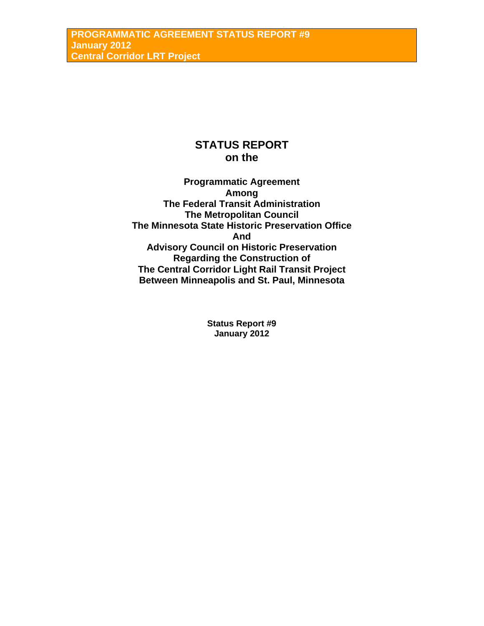# **STATUS REPORT on the**

**Programmatic Agreement Among The Federal Transit Administration The Metropolitan Council The Minnesota State Historic Preservation Office And Advisory Council on Historic Preservation Regarding the Construction of The Central Corridor Light Rail Transit Project Between Minneapolis and St. Paul, Minnesota** 

> **Status Report #9 January 2012**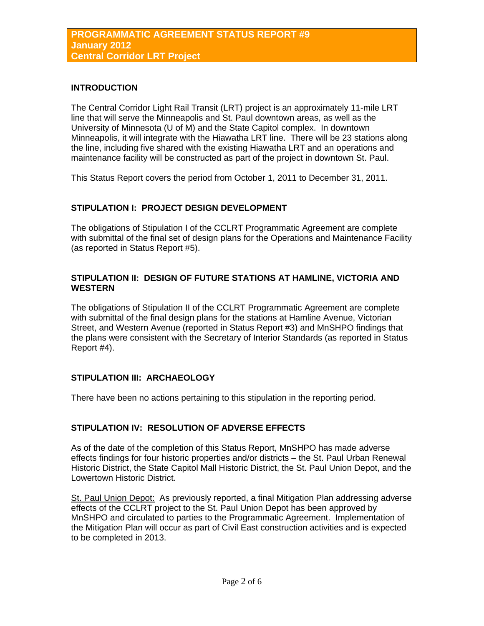### **INTRODUCTION**

The Central Corridor Light Rail Transit (LRT) project is an approximately 11-mile LRT line that will serve the Minneapolis and St. Paul downtown areas, as well as the University of Minnesota (U of M) and the State Capitol complex. In downtown Minneapolis, it will integrate with the Hiawatha LRT line. There will be 23 stations along the line, including five shared with the existing Hiawatha LRT and an operations and maintenance facility will be constructed as part of the project in downtown St. Paul.

This Status Report covers the period from October 1, 2011 to December 31, 2011.

## **STIPULATION I: PROJECT DESIGN DEVELOPMENT**

The obligations of Stipulation I of the CCLRT Programmatic Agreement are complete with submittal of the final set of design plans for the Operations and Maintenance Facility (as reported in Status Report #5).

### **STIPULATION II: DESIGN OF FUTURE STATIONS AT HAMLINE, VICTORIA AND WESTERN**

The obligations of Stipulation II of the CCLRT Programmatic Agreement are complete with submittal of the final design plans for the stations at Hamline Avenue, Victorian Street, and Western Avenue (reported in Status Report #3) and MnSHPO findings that the plans were consistent with the Secretary of Interior Standards (as reported in Status Report #4).

## **STIPULATION III: ARCHAEOLOGY**

There have been no actions pertaining to this stipulation in the reporting period.

#### **STIPULATION IV: RESOLUTION OF ADVERSE EFFECTS**

As of the date of the completion of this Status Report, MnSHPO has made adverse effects findings for four historic properties and/or districts – the St. Paul Urban Renewal Historic District, the State Capitol Mall Historic District, the St. Paul Union Depot, and the Lowertown Historic District.

St. Paul Union Depot: As previously reported, a final Mitigation Plan addressing adverse effects of the CCLRT project to the St. Paul Union Depot has been approved by MnSHPO and circulated to parties to the Programmatic Agreement. Implementation of the Mitigation Plan will occur as part of Civil East construction activities and is expected to be completed in 2013.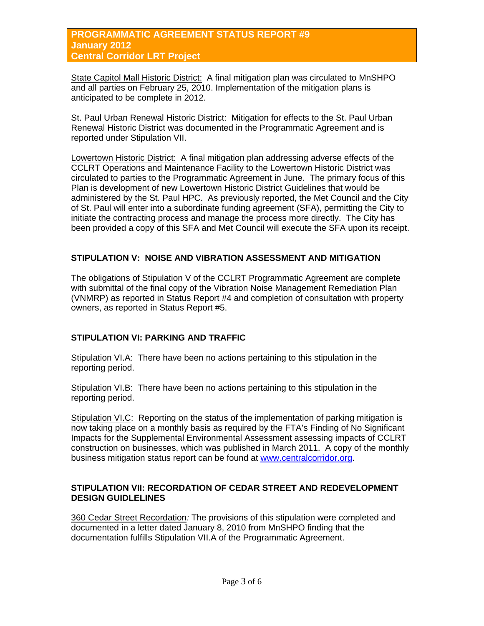## **PROGRAMMATIC AGREEMENT STATUS REPORT #9 January 2012 Central Corridor LRT Project**

State Capitol Mall Historic District: A final mitigation plan was circulated to MnSHPO and all parties on February 25, 2010. Implementation of the mitigation plans is anticipated to be complete in 2012.

St. Paul Urban Renewal Historic District: Mitigation for effects to the St. Paul Urban Renewal Historic District was documented in the Programmatic Agreement and is reported under Stipulation VII.

Lowertown Historic District: A final mitigation plan addressing adverse effects of the CCLRT Operations and Maintenance Facility to the Lowertown Historic District was circulated to parties to the Programmatic Agreement in June. The primary focus of this Plan is development of new Lowertown Historic District Guidelines that would be administered by the St. Paul HPC. As previously reported, the Met Council and the City of St. Paul will enter into a subordinate funding agreement (SFA), permitting the City to initiate the contracting process and manage the process more directly. The City has been provided a copy of this SFA and Met Council will execute the SFA upon its receipt.

## **STIPULATION V: NOISE AND VIBRATION ASSESSMENT AND MITIGATION**

The obligations of Stipulation V of the CCLRT Programmatic Agreement are complete with submittal of the final copy of the Vibration Noise Management Remediation Plan (VNMRP) as reported in Status Report #4 and completion of consultation with property owners, as reported in Status Report #5.

#### **STIPULATION VI: PARKING AND TRAFFIC**

Stipulation VI.A: There have been no actions pertaining to this stipulation in the reporting period.

Stipulation VI.B: There have been no actions pertaining to this stipulation in the reporting period.

Stipulation VI.C: Reporting on the status of the implementation of parking mitigation is now taking place on a monthly basis as required by the FTA's Finding of No Significant Impacts for the Supplemental Environmental Assessment assessing impacts of CCLRT construction on businesses, which was published in March 2011. A copy of the monthly business mitigation status report can be found at [www.centralcorridor.org.](http://www.centralcorridor.org/)

#### **STIPULATION VII: RECORDATION OF CEDAR STREET AND REDEVELOPMENT DESIGN GUIDLELINES**

360 Cedar Street Recordation*:* The provisions of this stipulation were completed and documented in a letter dated January 8, 2010 from MnSHPO finding that the documentation fulfills Stipulation VII.A of the Programmatic Agreement.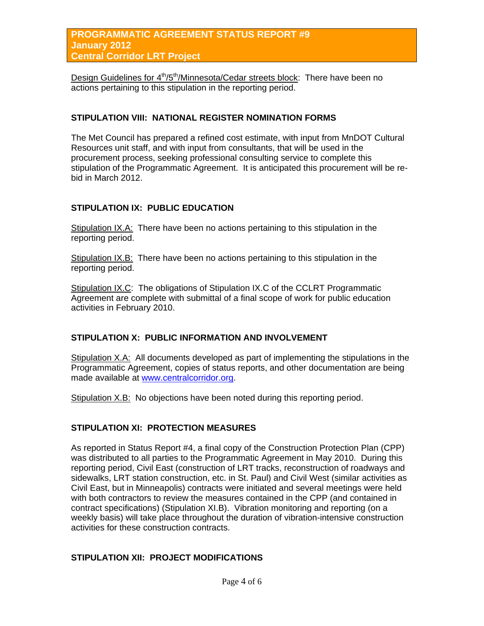Design Guidelines for 4<sup>th</sup>/5<sup>th</sup>/Minnesota/Cedar streets block: There have been no actions pertaining to this stipulation in the reporting period.

#### **STIPULATION VIII: NATIONAL REGISTER NOMINATION FORMS**

The Met Council has prepared a refined cost estimate, with input from MnDOT Cultural Resources unit staff, and with input from consultants, that will be used in the procurement process, seeking professional consulting service to complete this stipulation of the Programmatic Agreement. It is anticipated this procurement will be rebid in March 2012.

#### **STIPULATION IX: PUBLIC EDUCATION**

Stipulation IX.A: There have been no actions pertaining to this stipulation in the reporting period.

Stipulation IX.B: There have been no actions pertaining to this stipulation in the reporting period.

Stipulation IX.C: The obligations of Stipulation IX.C of the CCLRT Programmatic Agreement are complete with submittal of a final scope of work for public education activities in February 2010.

#### **STIPULATION X: PUBLIC INFORMATION AND INVOLVEMENT**

Stipulation X.A: All documents developed as part of implementing the stipulations in the Programmatic Agreement, copies of status reports, and other documentation are being made available at [www.centralcorridor.org](http://www.centralcorridor.org/).

Stipulation X.B: No objections have been noted during this reporting period.

## **STIPULATION XI: PROTECTION MEASURES**

As reported in Status Report #4, a final copy of the Construction Protection Plan (CPP) was distributed to all parties to the Programmatic Agreement in May 2010. During this reporting period, Civil East (construction of LRT tracks, reconstruction of roadways and sidewalks, LRT station construction, etc. in St. Paul) and Civil West (similar activities as Civil East, but in Minneapolis) contracts were initiated and several meetings were held with both contractors to review the measures contained in the CPP (and contained in contract specifications) (Stipulation XI.B). Vibration monitoring and reporting (on a weekly basis) will take place throughout the duration of vibration-intensive construction activities for these construction contracts.

#### **STIPULATION XII: PROJECT MODIFICATIONS**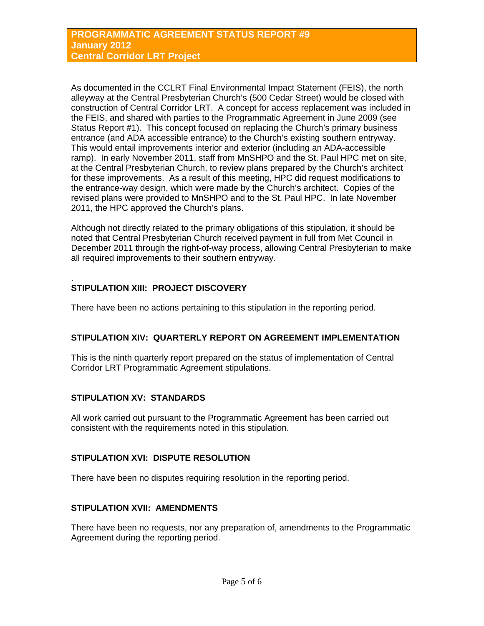As documented in the CCLRT Final Environmental Impact Statement (FEIS), the north alleyway at the Central Presbyterian Church's (500 Cedar Street) would be closed with construction of Central Corridor LRT. A concept for access replacement was included in the FEIS, and shared with parties to the Programmatic Agreement in June 2009 (see Status Report #1). This concept focused on replacing the Church's primary business entrance (and ADA accessible entrance) to the Church's existing southern entryway. This would entail improvements interior and exterior (including an ADA-accessible ramp). In early November 2011, staff from MnSHPO and the St. Paul HPC met on site, at the Central Presbyterian Church, to review plans prepared by the Church's architect for these improvements. As a result of this meeting, HPC did request modifications to the entrance-way design, which were made by the Church's architect. Copies of the revised plans were provided to MnSHPO and to the St. Paul HPC. In late November 2011, the HPC approved the Church's plans.

Although not directly related to the primary obligations of this stipulation, it should be noted that Central Presbyterian Church received payment in full from Met Council in December 2011 through the right-of-way process, allowing Central Presbyterian to make all required improvements to their southern entryway.

#### . **STIPULATION XIII: PROJECT DISCOVERY**

There have been no actions pertaining to this stipulation in the reporting period.

#### **STIPULATION XIV: QUARTERLY REPORT ON AGREEMENT IMPLEMENTATION**

This is the ninth quarterly report prepared on the status of implementation of Central Corridor LRT Programmatic Agreement stipulations.

#### **STIPULATION XV: STANDARDS**

All work carried out pursuant to the Programmatic Agreement has been carried out consistent with the requirements noted in this stipulation.

#### **STIPULATION XVI: DISPUTE RESOLUTION**

There have been no disputes requiring resolution in the reporting period.

#### **STIPULATION XVII: AMENDMENTS**

There have been no requests, nor any preparation of, amendments to the Programmatic Agreement during the reporting period.